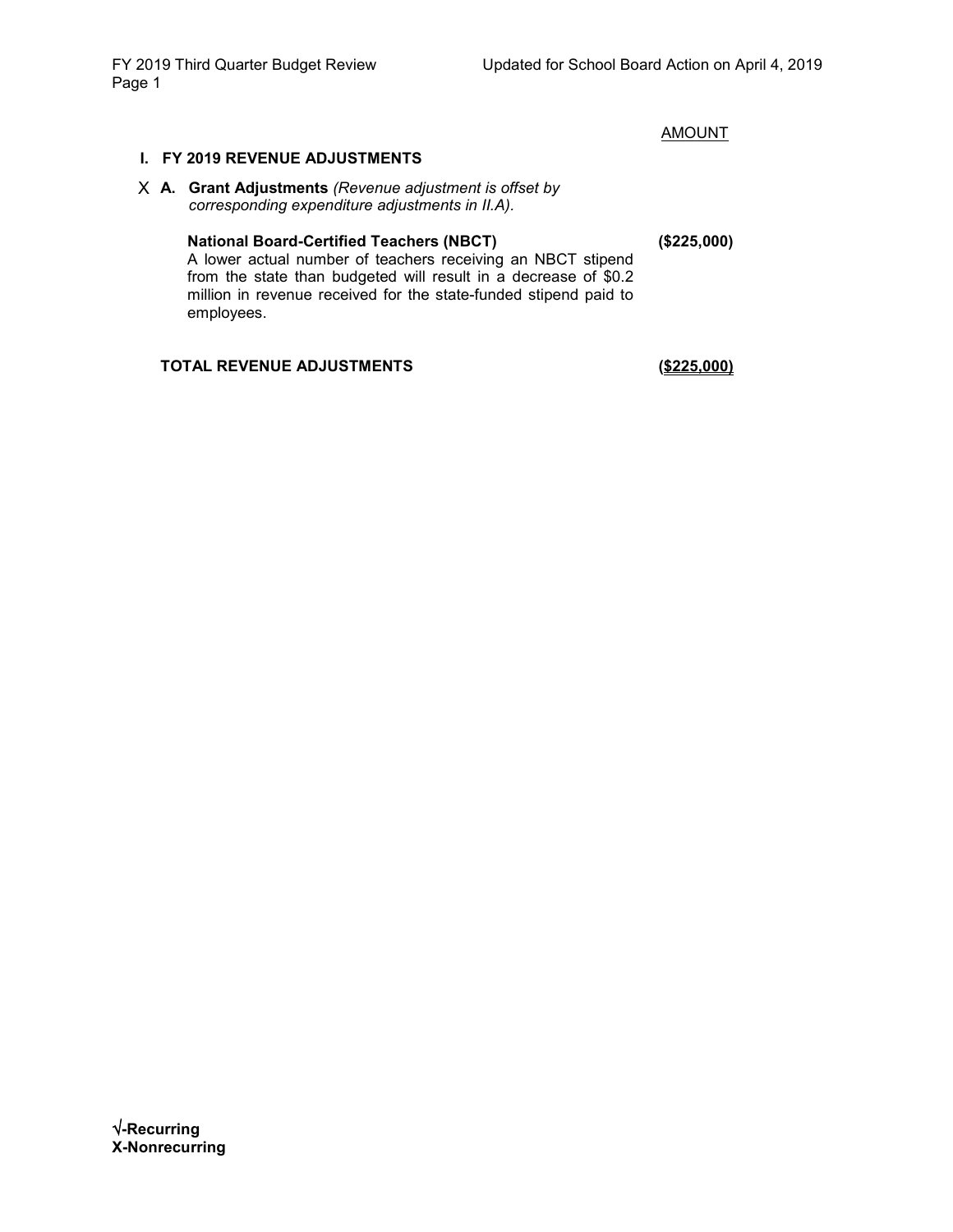**AMOUNT** 

### **I. FY 2019 REVENUE ADJUSTMENTS**

X **A. Grant Adjustments** *(Revenue adjustment is offset by corresponding expenditure adjustments in II.A).*

### **National Board-Certified Teachers (NBCT)**

A lower actual number of teachers receiving an NBCT stipend from the state than budgeted will result in a decrease of \$0.2 million in revenue received for the state-funded stipend paid to employees.

### **TOTAL REVENUE ADJUSTMENTS (\$225,000)**

**(\$225,000)**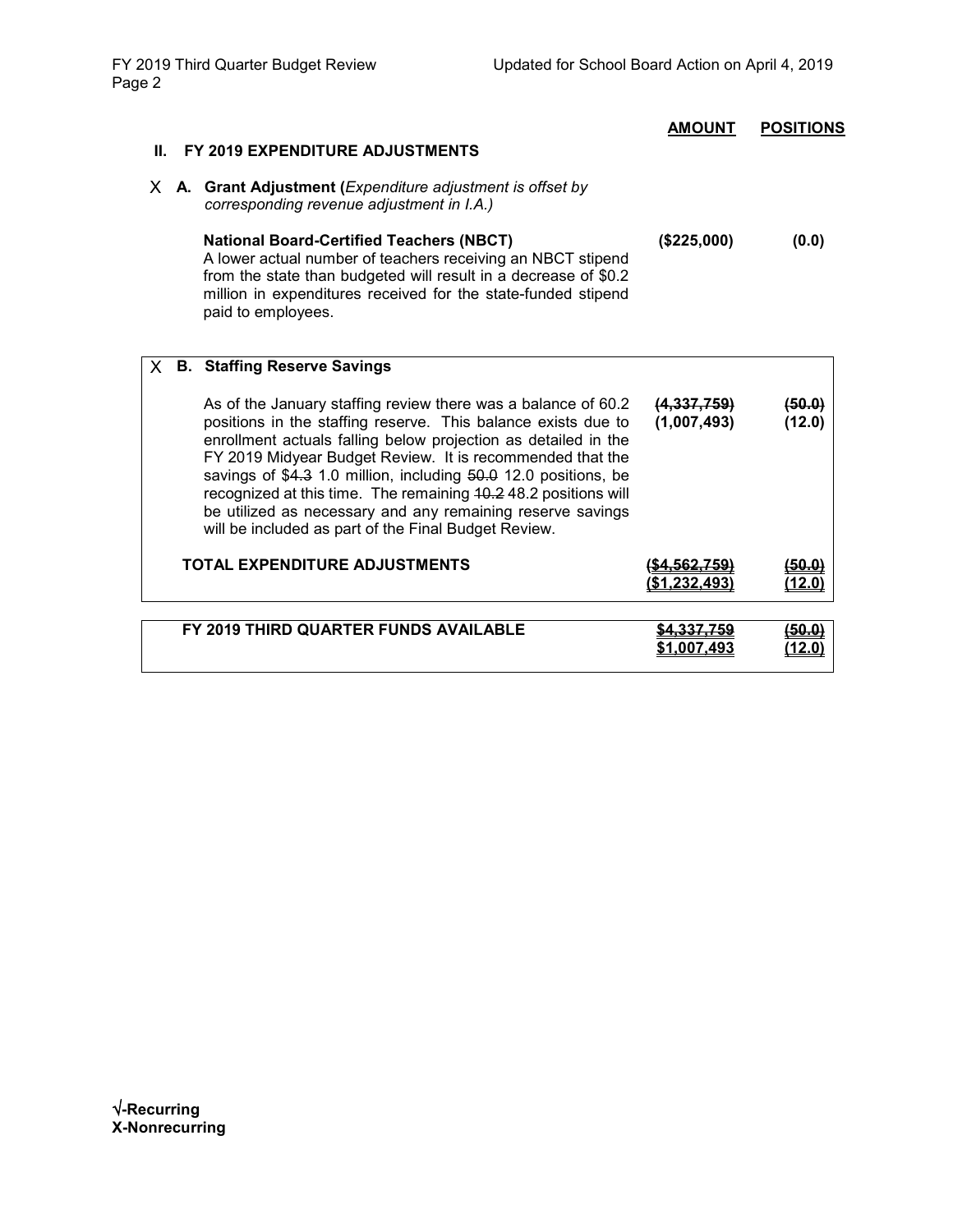| Ш. | FY 2019 EXPENDITURE ADJUSTMENTS                                                                                                                                                                                                                                                                                                                                                                                                                                                                                           | <b>AMOUNT</b>              | <b>POSITIONS</b> |
|----|---------------------------------------------------------------------------------------------------------------------------------------------------------------------------------------------------------------------------------------------------------------------------------------------------------------------------------------------------------------------------------------------------------------------------------------------------------------------------------------------------------------------------|----------------------------|------------------|
|    | X A. Grant Adjustment (Expenditure adjustment is offset by<br>corresponding revenue adjustment in I.A.)                                                                                                                                                                                                                                                                                                                                                                                                                   |                            |                  |
|    | <b>National Board-Certified Teachers (NBCT)</b><br>A lower actual number of teachers receiving an NBCT stipend<br>from the state than budgeted will result in a decrease of \$0.2<br>million in expenditures received for the state-funded stipend<br>paid to employees.                                                                                                                                                                                                                                                  | (\$225,000)                | (0.0)            |
| X. | <b>B. Staffing Reserve Savings</b>                                                                                                                                                                                                                                                                                                                                                                                                                                                                                        |                            |                  |
|    | As of the January staffing review there was a balance of 60.2<br>positions in the staffing reserve. This balance exists due to<br>enrollment actuals falling below projection as detailed in the<br>FY 2019 Midyear Budget Review. It is recommended that the<br>savings of \$4.3 1.0 million, including 50.0 12.0 positions, be<br>recognized at this time. The remaining 40.2 48.2 positions will<br>be utilized as necessary and any remaining reserve savings<br>will be included as part of the Final Budget Review. | (4,337,759)<br>(1,007,493) | (50.0)<br>(12.0) |
|    | TOTAL EXPENDITURE ADJUSTMENTS                                                                                                                                                                                                                                                                                                                                                                                                                                                                                             |                            |                  |
|    | FY 2019 THIRD QUARTER FUNDS AVAILABLE                                                                                                                                                                                                                                                                                                                                                                                                                                                                                     | \$1.007.493                |                  |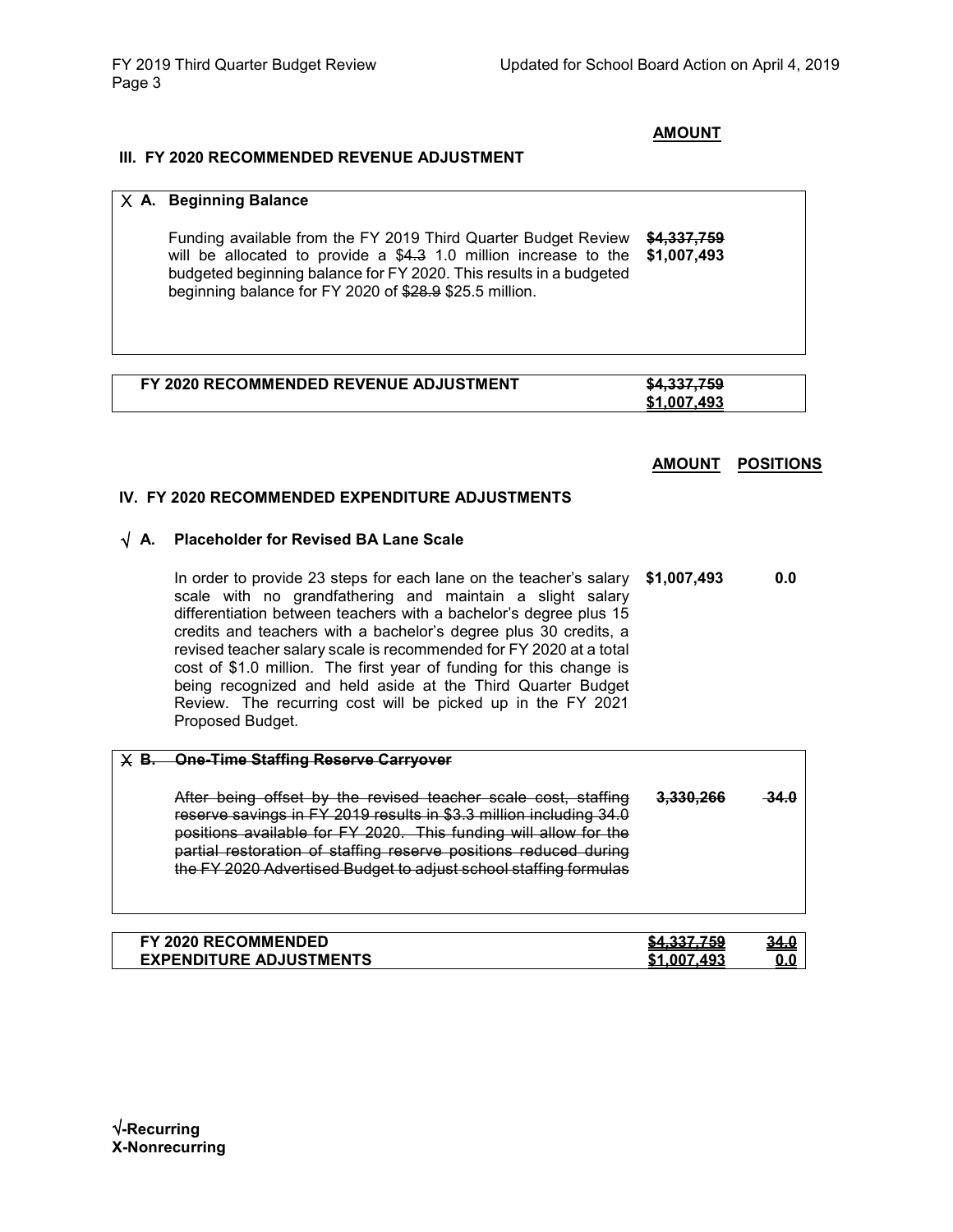### **AMOUNT**

### **III. FY 2020 RECOMMENDED REVENUE ADJUSTMENT**

|        | X A. Beginning Balance                                                                                                                                                                                                                                                                                                                                                                                                                                                                                                                                                  |                            |                  |
|--------|-------------------------------------------------------------------------------------------------------------------------------------------------------------------------------------------------------------------------------------------------------------------------------------------------------------------------------------------------------------------------------------------------------------------------------------------------------------------------------------------------------------------------------------------------------------------------|----------------------------|------------------|
|        | Funding available from the FY 2019 Third Quarter Budget Review<br>will be allocated to provide a \$4.3 1.0 million increase to the<br>budgeted beginning balance for FY 2020. This results in a budgeted<br>beginning balance for FY 2020 of \$28.9 \$25.5 million.                                                                                                                                                                                                                                                                                                     | \$4,337,759<br>\$1,007,493 |                  |
|        |                                                                                                                                                                                                                                                                                                                                                                                                                                                                                                                                                                         |                            |                  |
|        | FY 2020 RECOMMENDED REVENUE ADJUSTMENT                                                                                                                                                                                                                                                                                                                                                                                                                                                                                                                                  | \$4,337,759<br>\$1.007.493 |                  |
|        |                                                                                                                                                                                                                                                                                                                                                                                                                                                                                                                                                                         | <b>AMOUNT</b>              | <b>POSITIONS</b> |
|        | IV. FY 2020 RECOMMENDED EXPENDITURE ADJUSTMENTS                                                                                                                                                                                                                                                                                                                                                                                                                                                                                                                         |                            |                  |
| √ A.   | <b>Placeholder for Revised BA Lane Scale</b>                                                                                                                                                                                                                                                                                                                                                                                                                                                                                                                            |                            |                  |
|        | In order to provide 23 steps for each lane on the teacher's salary<br>scale with no grandfathering and maintain a slight salary<br>differentiation between teachers with a bachelor's degree plus 15<br>credits and teachers with a bachelor's degree plus 30 credits, a<br>revised teacher salary scale is recommended for FY 2020 at a total<br>cost of \$1.0 million. The first year of funding for this change is<br>being recognized and held aside at the Third Quarter Budget<br>Review. The recurring cost will be picked up in the FY 2021<br>Proposed Budget. | \$1,007,493                | 0.0              |
| $X$ B. | <b>One-Time Staffing Reserve Carryover</b>                                                                                                                                                                                                                                                                                                                                                                                                                                                                                                                              |                            |                  |
|        | After being offset by the revised teacher scale cost, staffing<br>reserve savings in FY 2019 results in \$3.3 million including 34.0<br>positions available for FY 2020. This funding will allow for the<br>partial restoration of staffing reserve positions reduced during<br>the FY 2020 Advertised Budget to adjust school staffing formulas                                                                                                                                                                                                                        | 3.330.266                  | 34.O             |

| FY 2020 RECOMMENDED            | CA 227 750<br>$-1.0011100$ | <u>34.0</u> |
|--------------------------------|----------------------------|-------------|
| <b>EXPENDITURE ADJUSTMENTS</b> | .493<br>-00.               |             |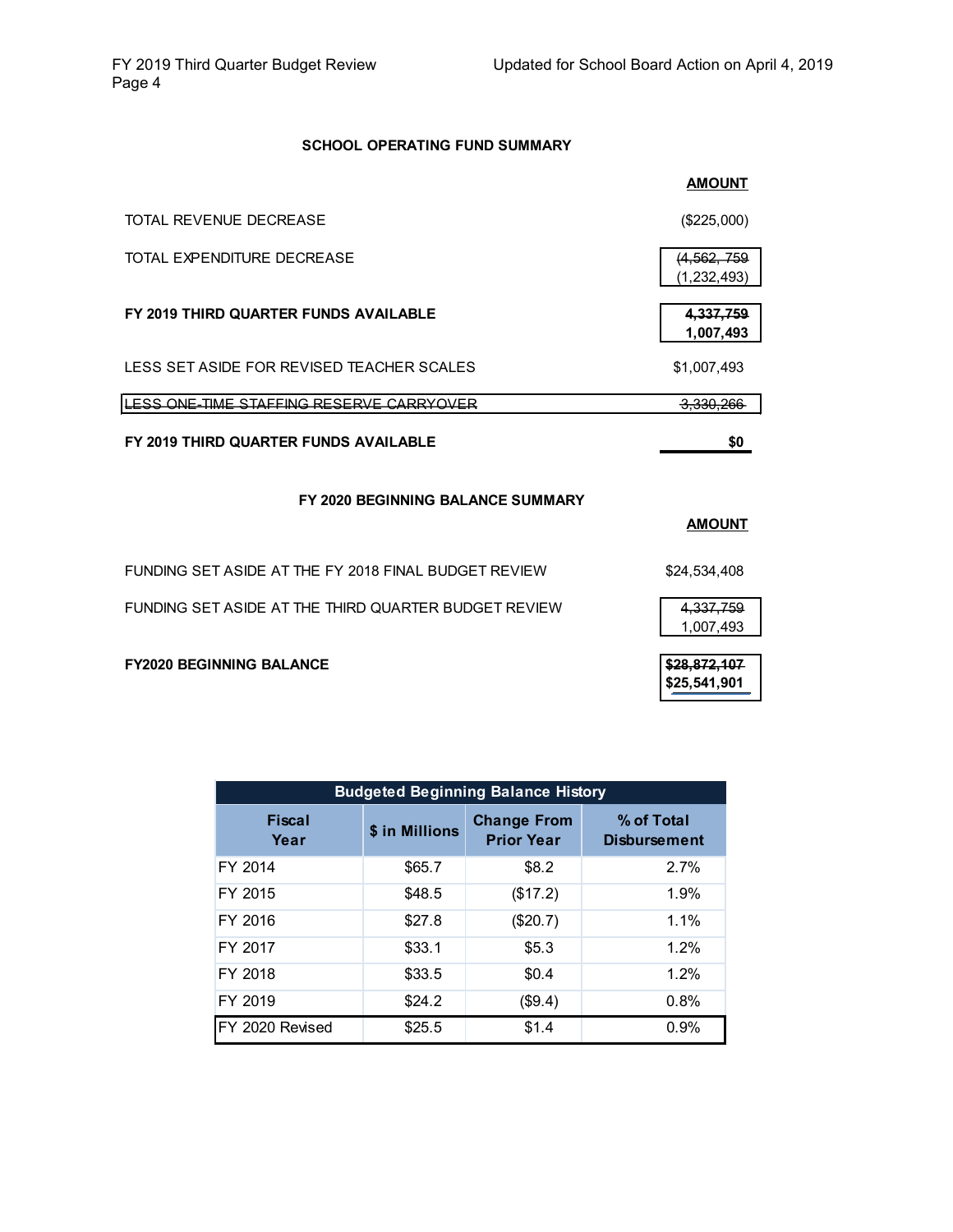### **SCHOOL OPERATING FUND SUMMARY**

|                                                      | <b>AMOUNT</b>              |
|------------------------------------------------------|----------------------------|
| TOTAL REVENUE DECREASE                               | (\$225,000)                |
| TOTAL EXPENDITURE DECREASE                           | (4,562,759)<br>(1,232,493) |
| FY 2019 THIRD QUARTER FUNDS AVAILABLE                | 4,337,759<br>1,007,493     |
| LESS SET ASIDE FOR REVISED TEACHER SCALES            | \$1,007,493                |
| LESS ONE-TIME STAFFING RESERVE CARRYOVER             | <del>3,330,266</del>       |
| FY 2019 THIRD QUARTER FUNDS AVAILABLE                | \$0                        |
| FY 2020 BEGINNING BALANCE SUMMARY                    |                            |
|                                                      | <b>AMOUNT</b>              |
|                                                      |                            |
| FUNDING SET ASIDE AT THE FY 2018 FINAL BUDGET REVIEW | \$24,534,408               |
| FUNDING SET ASIDE AT THE THIRD QUARTER BUDGET REVIEW | 4,337,759<br>1,007,493     |

| <b>Budgeted Beginning Balance History</b> |                |                                         |                                   |  |  |  |  |  |  |
|-------------------------------------------|----------------|-----------------------------------------|-----------------------------------|--|--|--|--|--|--|
| Fiscal<br>Year                            | \$ in Millions | <b>Change From</b><br><b>Prior Year</b> | % of Total<br><b>Disbursement</b> |  |  |  |  |  |  |
| FY 2014                                   | \$65.7         | \$8.2                                   | 2.7%                              |  |  |  |  |  |  |
| FY 2015                                   | \$48.5         | (\$17.2)                                | 1.9%                              |  |  |  |  |  |  |
| FY 2016                                   | \$27.8         | $(\$20.7)$                              | $1.1\%$                           |  |  |  |  |  |  |
| FY 2017                                   | \$33.1         | \$5.3                                   | 1.2%                              |  |  |  |  |  |  |
| FY 2018                                   | \$33.5         | \$0.4                                   | 1.2%                              |  |  |  |  |  |  |
| FY 2019                                   | \$24.2         | (\$9.4)                                 | 0.8%                              |  |  |  |  |  |  |
| FY 2020 Revised                           | \$25.5         | \$1.4                                   | 0.9%                              |  |  |  |  |  |  |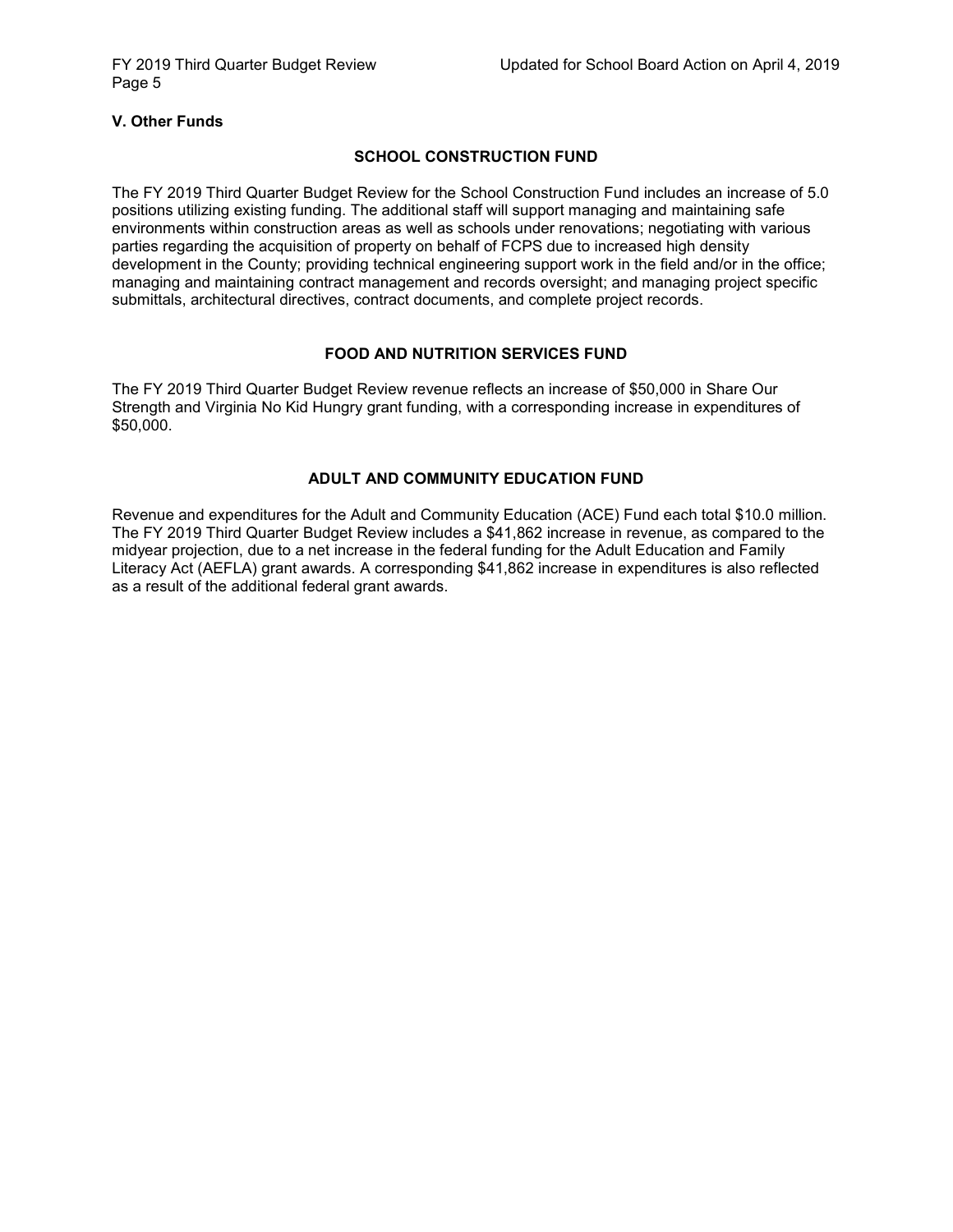### **V. Other Funds**

### **SCHOOL CONSTRUCTION FUND**

The FY 2019 Third Quarter Budget Review for the School Construction Fund includes an increase of 5.0 positions utilizing existing funding. The additional staff will support managing and maintaining safe environments within construction areas as well as schools under renovations; negotiating with various parties regarding the acquisition of property on behalf of FCPS due to increased high density development in the County; providing technical engineering support work in the field and/or in the office; managing and maintaining contract management and records oversight; and managing project specific submittals, architectural directives, contract documents, and complete project records.

### **FOOD AND NUTRITION SERVICES FUND**

The FY 2019 Third Quarter Budget Review revenue reflects an increase of \$50,000 in Share Our Strength and Virginia No Kid Hungry grant funding, with a corresponding increase in expenditures of \$50,000.

### **ADULT AND COMMUNITY EDUCATION FUND**

Revenue and expenditures for the Adult and Community Education (ACE) Fund each total \$10.0 million. The FY 2019 Third Quarter Budget Review includes a \$41,862 increase in revenue, as compared to the midyear projection, due to a net increase in the federal funding for the Adult Education and Family Literacy Act (AEFLA) grant awards. A corresponding \$41,862 increase in expenditures is also reflected as a result of the additional federal grant awards.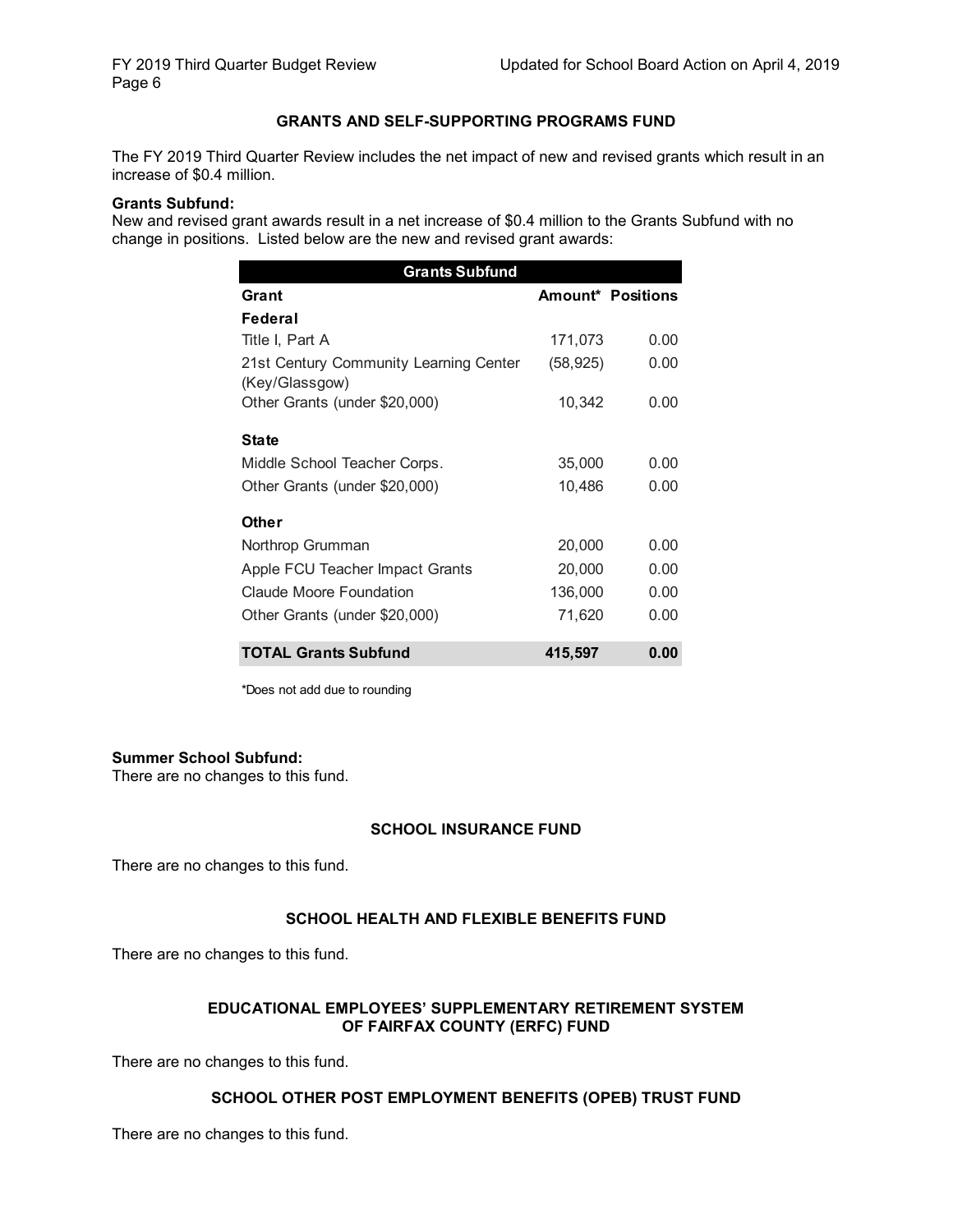### **GRANTS AND SELF-SUPPORTING PROGRAMS FUND**

The FY 2019 Third Quarter Review includes the net impact of new and revised grants which result in an increase of \$0.4 million.

#### **Grants Subfund:**

New and revised grant awards result in a net increase of \$0.4 million to the Grants Subfund with no change in positions. Listed below are the new and revised grant awards:

| <b>Grants Subfund</b>                                    |           |                   |  |  |  |  |  |
|----------------------------------------------------------|-----------|-------------------|--|--|--|--|--|
| Grant                                                    |           | Amount* Positions |  |  |  |  |  |
| Federal                                                  |           |                   |  |  |  |  |  |
| Title I, Part A                                          | 171,073   | 0.00              |  |  |  |  |  |
| 21st Century Community Learning Center<br>(Key/Glassgow) | (58, 925) | 0.00              |  |  |  |  |  |
| Other Grants (under \$20,000)                            | 10,342    | 0.00              |  |  |  |  |  |
| <b>State</b>                                             |           |                   |  |  |  |  |  |
| Middle School Teacher Corps.                             | 35,000    | 0.00              |  |  |  |  |  |
| Other Grants (under \$20,000)                            | 10,486    | 0.00              |  |  |  |  |  |
| Other                                                    |           |                   |  |  |  |  |  |
| Northrop Grumman                                         | 20,000    | 0.00              |  |  |  |  |  |
| Apple FCU Teacher Impact Grants                          | 20,000    | 0.00              |  |  |  |  |  |
| <b>Claude Moore Foundation</b>                           | 136,000   | 0.00              |  |  |  |  |  |
| Other Grants (under \$20,000)                            | 71,620    | 0.00              |  |  |  |  |  |
| <b>TOTAL Grants Subfund</b>                              | 415,597   | 0.00              |  |  |  |  |  |

\*Does not add due to rounding

### **Summer School Subfund:**

There are no changes to this fund.

### **SCHOOL INSURANCE FUND**

There are no changes to this fund.

### **SCHOOL HEALTH AND FLEXIBLE BENEFITS FUND**

There are no changes to this fund.

### **EDUCATIONAL EMPLOYEES' SUPPLEMENTARY RETIREMENT SYSTEM OF FAIRFAX COUNTY (ERFC) FUND**

There are no changes to this fund.

### **SCHOOL OTHER POST EMPLOYMENT BENEFITS (OPEB) TRUST FUND**

There are no changes to this fund.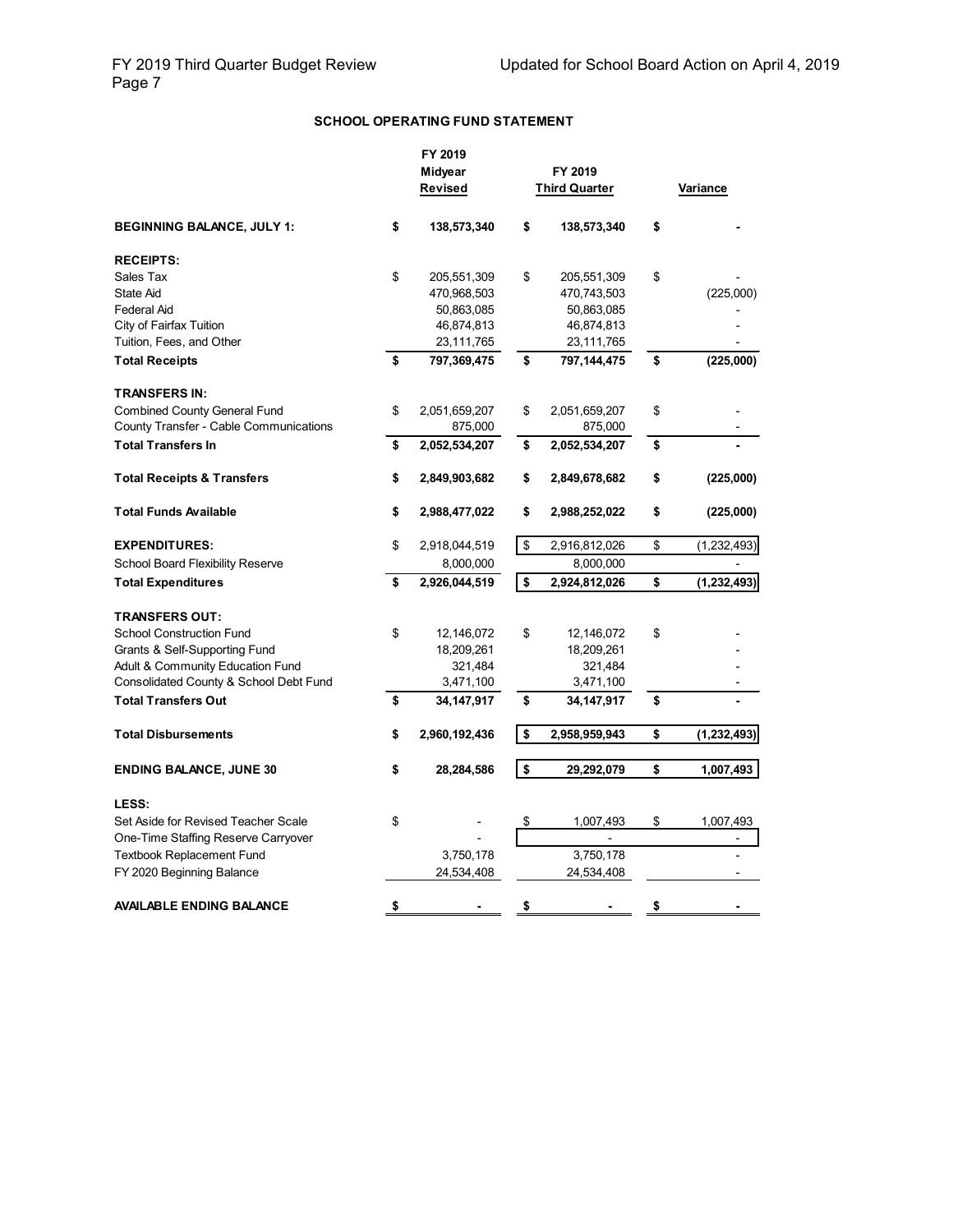### **SCHOOL OPERATING FUND STATEMENT**

|                                         | FY 2019<br>Midyear<br>Revised |                      | FY 2019<br><b>Third Quarter</b> | Variance            |
|-----------------------------------------|-------------------------------|----------------------|---------------------------------|---------------------|
| <b>BEGINNING BALANCE, JULY 1:</b>       | \$<br>138,573,340             | \$                   | 138,573,340                     | \$                  |
| <b>RECEIPTS:</b>                        |                               |                      |                                 |                     |
| Sales Tax                               | \$<br>205,551,309             | \$                   | 205,551,309                     | \$                  |
| State Aid                               | 470,968,503                   |                      | 470,743,503                     | (225,000)           |
| <b>Federal Aid</b>                      | 50,863,085                    |                      | 50,863,085                      |                     |
| City of Fairfax Tuition                 | 46,874,813                    |                      | 46,874,813                      |                     |
| Tuition, Fees, and Other                | 23,111,765                    |                      | 23,111,765                      |                     |
| <b>Total Receipts</b>                   | \$<br>797,369,475             | \$                   | 797,144,475                     | \$<br>(225,000)     |
| <b>TRANSFERS IN:</b>                    |                               |                      |                                 |                     |
| <b>Combined County General Fund</b>     | \$<br>2,051,659,207           | \$                   | 2,051,659,207                   | \$                  |
| County Transfer - Cable Communications  | 875,000                       |                      | 875,000                         |                     |
| <b>Total Transfers In</b>               | \$<br>2,052,534,207           | \$                   | 2,052,534,207                   | \$                  |
| <b>Total Receipts &amp; Transfers</b>   | \$<br>2,849,903,682           | \$                   | 2,849,678,682                   | \$<br>(225,000)     |
| <b>Total Funds Available</b>            | \$<br>2,988,477,022           | \$                   | 2,988,252,022                   | \$<br>(225,000)     |
| <b>EXPENDITURES:</b>                    | \$<br>2,918,044,519           | \$                   | 2,916,812,026                   | \$<br>(1,232,493)   |
| <b>School Board Flexibility Reserve</b> | 8,000,000                     |                      | 8,000,000                       |                     |
| <b>Total Expenditures</b>               | \$<br>2,926,044,519           | $\overline{\bullet}$ | 2,924,812,026                   | \$<br>(1, 232, 493) |
| <b>TRANSFERS OUT:</b>                   |                               |                      |                                 |                     |
| <b>School Construction Fund</b>         | \$<br>12,146,072              | \$                   | 12,146,072                      | \$                  |
| Grants & Self-Supporting Fund           | 18,209,261                    |                      | 18,209,261                      |                     |
| Adult & Community Education Fund        | 321,484                       |                      | 321,484                         |                     |
| Consolidated County & School Debt Fund  | 3,471,100                     |                      | 3,471,100                       |                     |
| <b>Total Transfers Out</b>              | \$<br>34, 147, 917            | \$                   | 34,147,917                      | \$                  |
| <b>Total Disbursements</b>              | \$<br>2,960,192,436           | \$                   | 2,958,959,943                   | \$<br>(1, 232, 493) |
|                                         |                               |                      |                                 |                     |
| <b>ENDING BALANCE, JUNE 30</b>          | \$<br>28,284,586              | \$                   | 29,292,079                      | \$<br>1,007,493     |
| LESS:                                   |                               |                      |                                 |                     |
| Set Aside for Revised Teacher Scale     | \$                            | \$                   | 1,007,493                       | \$<br>1,007,493     |
| One-Time Staffing Reserve Carryover     |                               |                      |                                 | $\overline{a}$      |
| <b>Textbook Replacement Fund</b>        | 3,750,178                     |                      | 3,750,178                       |                     |
| FY 2020 Beginning Balance               | 24,534,408                    |                      | 24,534,408                      |                     |
| <b>AVAILABLE ENDING BALANCE</b>         | \$                            | \$                   |                                 | \$                  |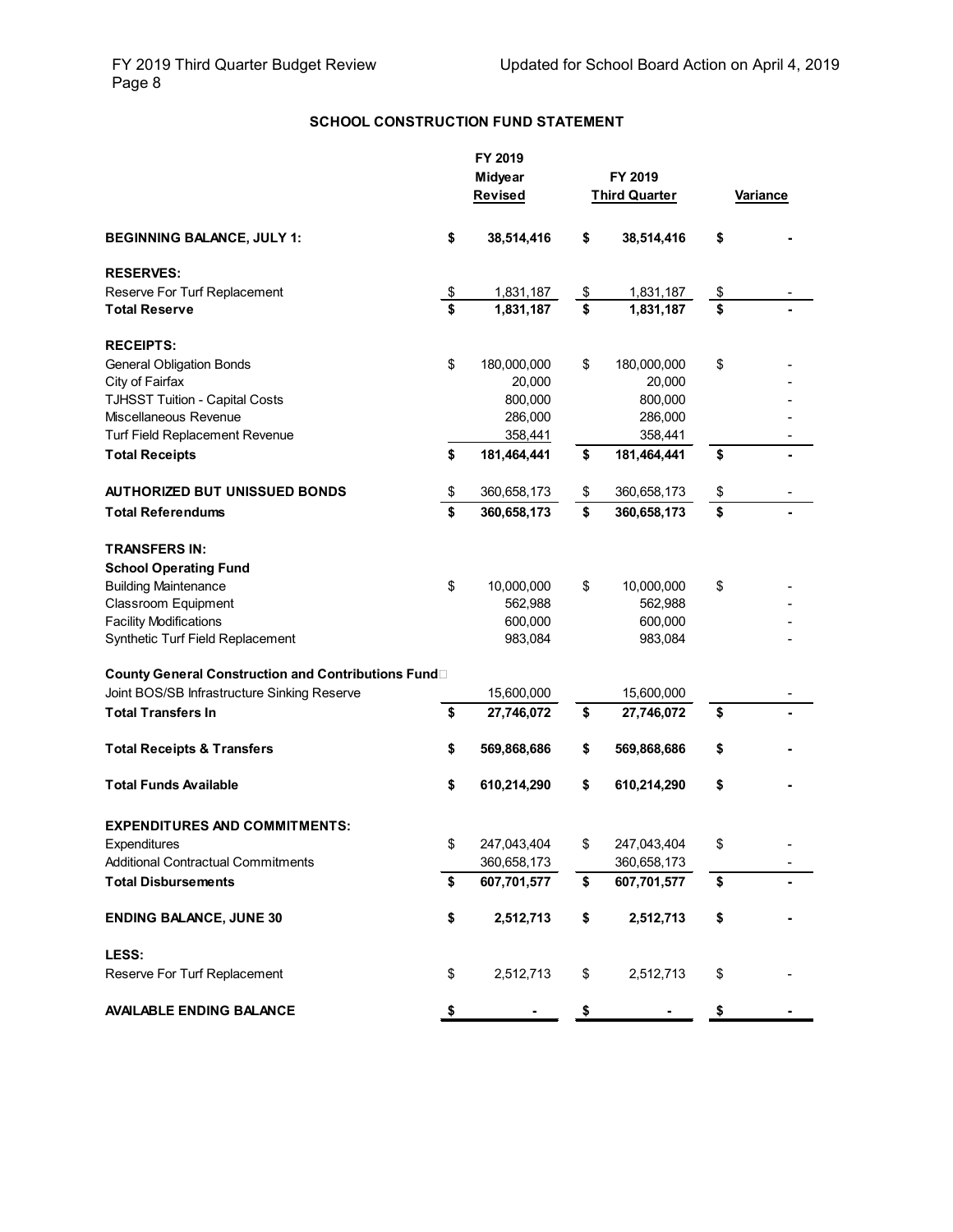## **SCHOOL CONSTRUCTION FUND STATEMENT**

|                                                                          |               | FY 2019     |                      |                 |
|--------------------------------------------------------------------------|---------------|-------------|----------------------|-----------------|
|                                                                          |               | Midyear     | FY 2019              |                 |
|                                                                          |               | Revised     | <b>Third Quarter</b> | <b>Variance</b> |
|                                                                          |               |             |                      |                 |
| <b>BEGINNING BALANCE, JULY 1:</b>                                        | \$            | 38,514,416  | \$<br>38,514,416     | \$              |
| <b>RESERVES:</b>                                                         |               |             |                      |                 |
| Reserve For Turf Replacement                                             | $\frac{1}{2}$ | 1,831,187   | \$<br>1,831,187      | \$              |
| <b>Total Reserve</b>                                                     | \$            | 1,831,187   | \$<br>1,831,187      | \$              |
| <b>RECEIPTS:</b>                                                         |               |             |                      |                 |
| <b>General Obligation Bonds</b>                                          | \$            | 180,000,000 | \$<br>180,000,000    | \$              |
| City of Fairfax                                                          |               | 20,000      | 20,000               |                 |
| <b>TJHSST Tuition - Capital Costs</b>                                    |               | 800,000     | 800,000              |                 |
| Miscellaneous Revenue                                                    |               | 286,000     | 286,000              |                 |
| <b>Turf Field Replacement Revenue</b>                                    |               | 358,441     | 358,441              |                 |
| <b>Total Receipts</b>                                                    | \$            | 181,464,441 | \$<br>181,464,441    | \$              |
|                                                                          |               |             |                      |                 |
| <b>AUTHORIZED BUT UNISSUED BONDS</b>                                     | \$            | 360,658,173 | \$<br>360,658,173    | \$              |
| <b>Total Referendums</b>                                                 | \$            | 360,658,173 | \$<br>360,658,173    | \$              |
| <b>TRANSFERS IN:</b>                                                     |               |             |                      |                 |
| <b>School Operating Fund</b>                                             |               |             |                      |                 |
| <b>Building Maintenance</b>                                              | \$            | 10,000,000  | \$<br>10,000,000     | \$              |
| <b>Classroom Equipment</b>                                               |               | 562,988     | 562,988              |                 |
| <b>Facility Modifications</b>                                            |               | 600,000     | 600,000              |                 |
| Synthetic Turf Field Replacement                                         |               | 983,084     | 983,084              |                 |
|                                                                          |               |             |                      |                 |
| County General Construction and Contributions Fund                       |               |             |                      |                 |
| Joint BOS/SB Infrastructure Sinking Reserve<br><b>Total Transfers In</b> | \$            | 15,600,000  | \$<br>15,600,000     | \$              |
|                                                                          |               | 27,746,072  | 27,746,072           |                 |
| <b>Total Receipts &amp; Transfers</b>                                    | \$            | 569,868,686 | \$<br>569,868,686    | \$              |
| Total Funds Available                                                    | \$            | 610,214,290 | \$<br>610,214,290    | \$              |
|                                                                          |               |             |                      |                 |
| <b>EXPENDITURES AND COMMITMENTS:</b>                                     |               |             |                      |                 |
| Expenditures                                                             | \$            | 247,043,404 | \$<br>247,043,404    | \$              |
| <b>Additional Contractual Commitments</b>                                |               | 360,658,173 | 360,658,173          |                 |
| <b>Total Disbursements</b>                                               | \$            | 607,701,577 | \$<br>607,701,577    | \$              |
| <b>ENDING BALANCE, JUNE 30</b>                                           | \$            | 2,512,713   |                      |                 |
|                                                                          |               |             | \$<br>2,512,713      | \$              |
| LESS:                                                                    |               |             |                      |                 |
| Reserve For Turf Replacement                                             | \$            | 2,512,713   | \$<br>2,512,713      | \$              |
| <b>AVAILABLE ENDING BALANCE</b>                                          | \$            |             | \$                   | \$              |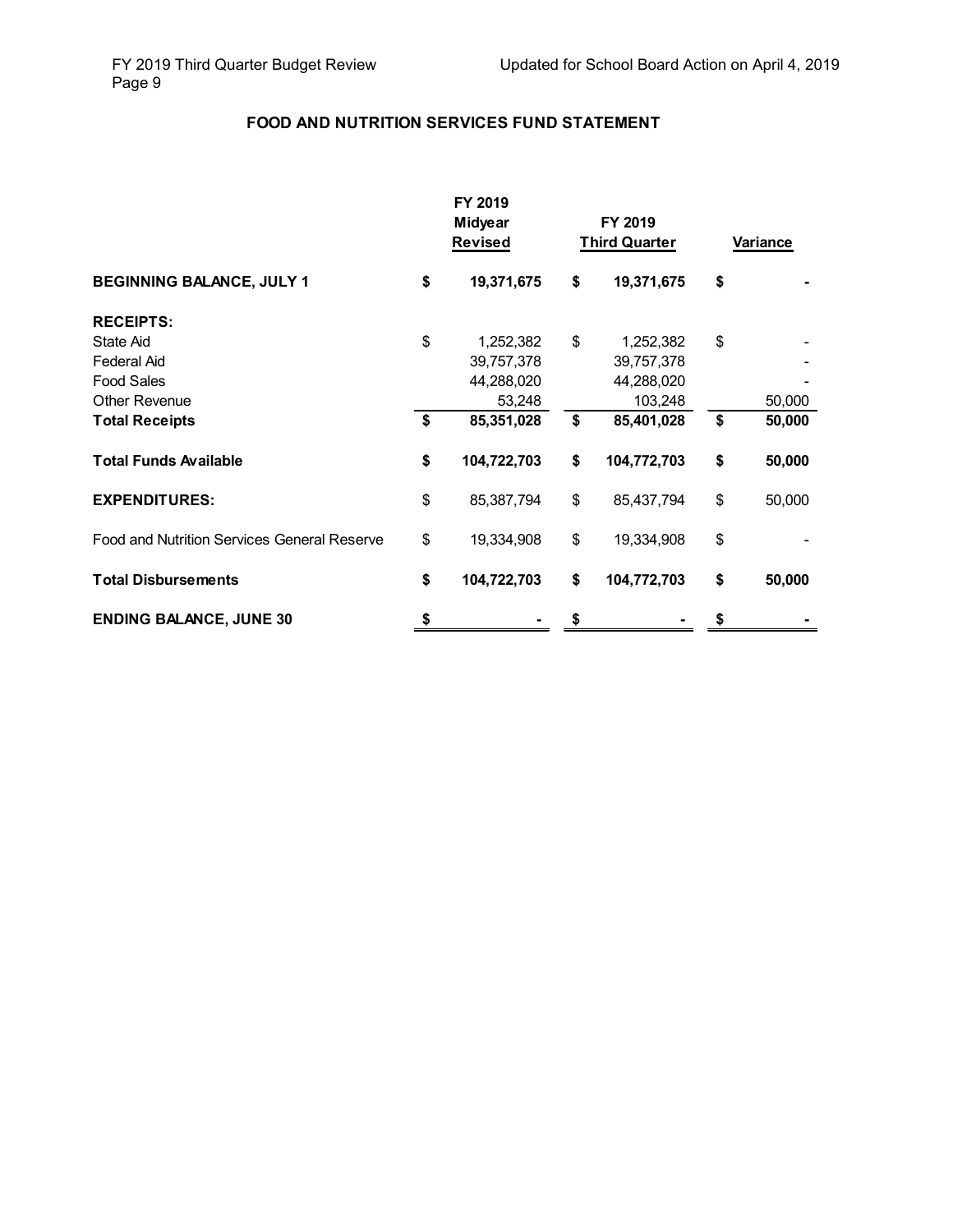## **FOOD AND NUTRITION SERVICES FUND STATEMENT**

|                                             |    | FY 2019<br><b>Midyear</b><br><b>Revised</b> | FY 2019<br><b>Third Quarter</b> | Variance |        |
|---------------------------------------------|----|---------------------------------------------|---------------------------------|----------|--------|
| <b>BEGINNING BALANCE, JULY 1</b>            | \$ | 19,371,675                                  | \$<br>19,371,675                | \$       |        |
| <b>RECEIPTS:</b>                            |    |                                             |                                 |          |        |
| State Aid                                   | \$ | 1,252,382                                   | \$<br>1,252,382                 | \$       |        |
| Federal Aid                                 |    | 39,757,378                                  | 39,757,378                      |          |        |
| <b>Food Sales</b>                           |    | 44,288,020                                  | 44,288,020                      |          |        |
| <b>Other Revenue</b>                        |    | 53,248                                      | 103,248                         |          | 50,000 |
| <b>Total Receipts</b>                       | \$ | 85,351,028                                  | \$<br>85,401,028                | \$       | 50,000 |
| <b>Total Funds Available</b>                | \$ | 104,722,703                                 | \$<br>104,772,703               | \$       | 50,000 |
| <b>EXPENDITURES:</b>                        | \$ | 85,387,794                                  | \$<br>85,437,794                | \$       | 50,000 |
| Food and Nutrition Services General Reserve | \$ | 19,334,908                                  | \$<br>19,334,908                | \$       |        |
| <b>Total Disbursements</b>                  | \$ | 104,722,703                                 | \$<br>104,772,703               | \$       | 50,000 |
| <b>ENDING BALANCE, JUNE 30</b>              | \$ |                                             |                                 |          |        |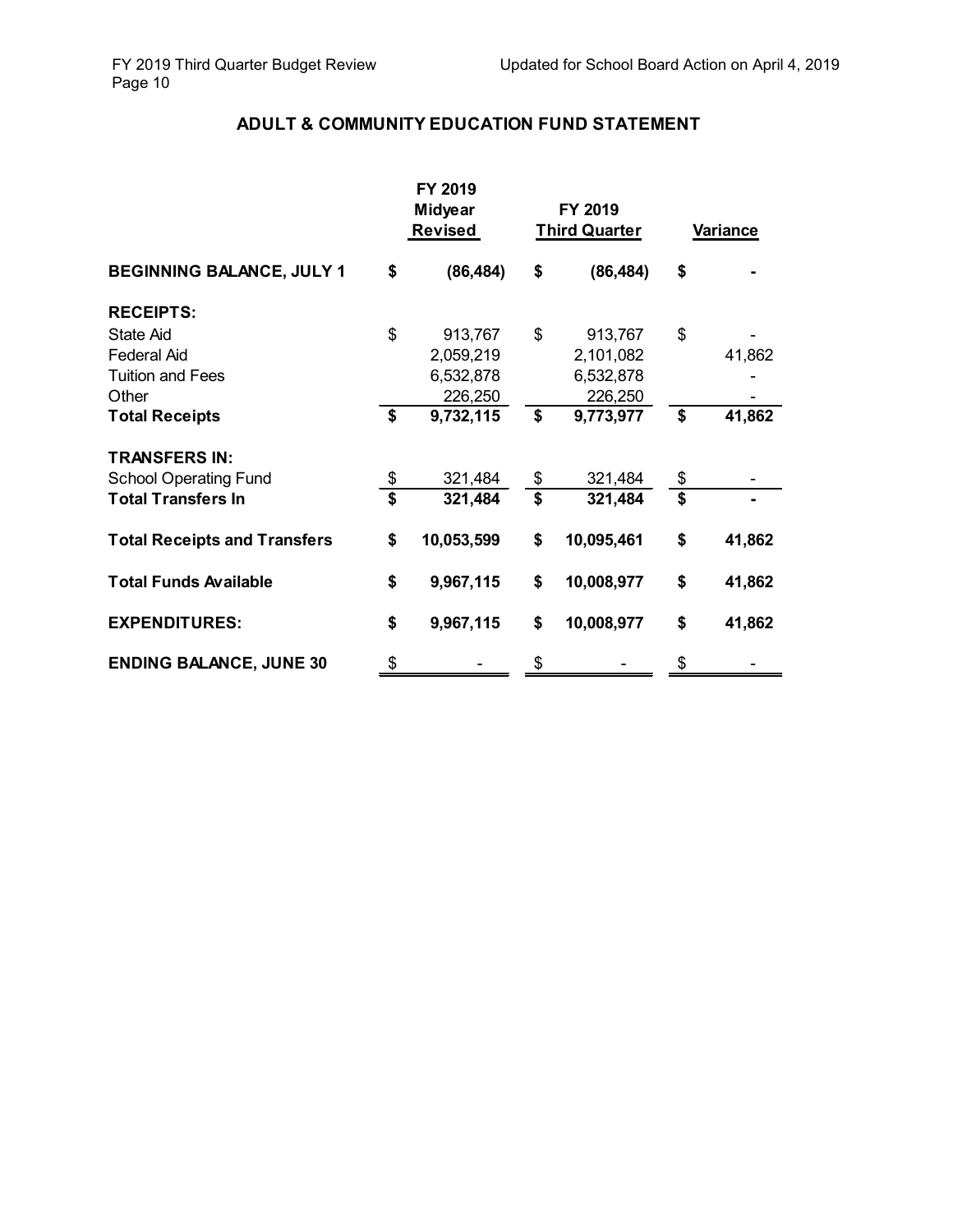# **ADULT & COMMUNITY EDUCATION FUND STATEMENT**

|                                     |                                      | FY 2019<br><b>Midyear</b><br><b>Revised</b> | FY 2019<br><b>Third Quarter</b> |            | <b>Variance</b>             |        |
|-------------------------------------|--------------------------------------|---------------------------------------------|---------------------------------|------------|-----------------------------|--------|
| <b>BEGINNING BALANCE, JULY 1</b>    | \$                                   | (86, 484)                                   | \$                              | (86, 484)  | \$                          |        |
| <b>RECEIPTS:</b>                    |                                      |                                             |                                 |            |                             |        |
| <b>State Aid</b>                    | \$                                   | 913,767                                     | \$                              | 913,767    | \$                          |        |
| <b>Federal Aid</b>                  |                                      | 2,059,219                                   |                                 | 2,101,082  |                             | 41,862 |
| <b>Tuition and Fees</b>             |                                      | 6,532,878                                   |                                 | 6,532,878  |                             |        |
| Other                               |                                      | 226,250                                     |                                 | 226,250    |                             |        |
| <b>Total Receipts</b>               | \$                                   | 9,732,115                                   | \$                              | 9,773,977  | \$                          | 41,862 |
| <b>TRANSFERS IN:</b>                |                                      |                                             |                                 |            |                             |        |
| <b>School Operating Fund</b>        | \$                                   | 321,484                                     | \$                              | 321,484    | \$                          |        |
| <b>Total Transfers In</b>           | $\overline{\boldsymbol{\mathsf{s}}}$ | 321,484                                     | $\overline{\mathbf{s}}$         | 321,484    | $\overline{\boldsymbol{s}}$ |        |
| <b>Total Receipts and Transfers</b> | \$                                   | 10,053,599                                  | \$                              | 10,095,461 | \$                          | 41,862 |
| <b>Total Funds Available</b>        | \$                                   | 9,967,115                                   | \$                              | 10,008,977 | \$                          | 41,862 |
| <b>EXPENDITURES:</b>                | \$                                   | 9,967,115                                   | \$                              | 10,008,977 | \$                          | 41,862 |
| <b>ENDING BALANCE, JUNE 30</b>      | \$                                   |                                             | \$                              |            | \$                          |        |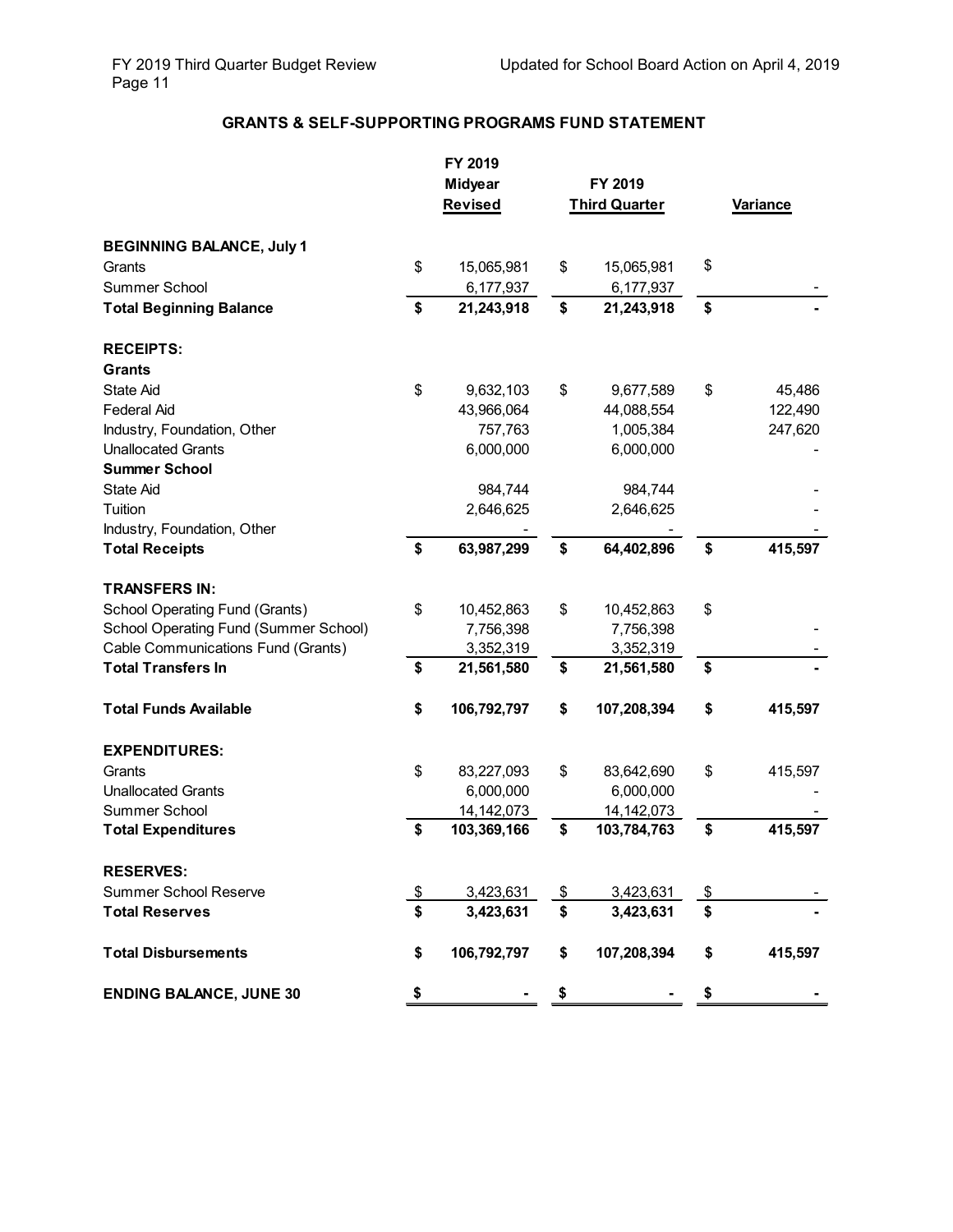## **GRANTS & SELF-SUPPORTING PROGRAMS FUND STATEMENT**

|                                       | FY 2019<br><b>Midyear</b> |               | FY 2019              |                 |         |  |
|---------------------------------------|---------------------------|---------------|----------------------|-----------------|---------|--|
|                                       | Revised                   |               | <b>Third Quarter</b> | <b>Variance</b> |         |  |
| <b>BEGINNING BALANCE, July 1</b>      |                           |               |                      |                 |         |  |
| Grants                                | \$<br>15,065,981          | \$            | 15,065,981           | \$              |         |  |
| Summer School                         | 6,177,937                 |               | 6,177,937            |                 |         |  |
| <b>Total Beginning Balance</b>        | \$<br>21,243,918          | \$            | 21,243,918           | \$              |         |  |
| <b>RECEIPTS:</b>                      |                           |               |                      |                 |         |  |
| <b>Grants</b>                         |                           |               |                      |                 |         |  |
| <b>State Aid</b>                      | \$<br>9,632,103           | \$            | 9,677,589            | \$              | 45,486  |  |
| <b>Federal Aid</b>                    | 43,966,064                |               | 44,088,554           |                 | 122,490 |  |
| Industry, Foundation, Other           | 757,763                   |               | 1,005,384            |                 | 247,620 |  |
| <b>Unallocated Grants</b>             | 6,000,000                 |               | 6,000,000            |                 |         |  |
| <b>Summer School</b>                  |                           |               |                      |                 |         |  |
| State Aid                             | 984,744                   |               | 984,744              |                 |         |  |
| Tuition                               | 2,646,625                 |               | 2,646,625            |                 |         |  |
| Industry, Foundation, Other           |                           |               |                      |                 |         |  |
| <b>Total Receipts</b>                 | \$<br>63,987,299          | \$            | 64,402,896           | \$              | 415,597 |  |
| <b>TRANSFERS IN:</b>                  |                           |               |                      |                 |         |  |
| School Operating Fund (Grants)        | \$<br>10,452,863          | \$            | 10,452,863           | \$              |         |  |
| School Operating Fund (Summer School) | 7,756,398                 |               | 7,756,398            |                 |         |  |
| Cable Communications Fund (Grants)    | 3,352,319                 |               | 3,352,319            |                 |         |  |
| <b>Total Transfers In</b>             | \$<br>21,561,580          | \$            | 21,561,580           | \$              |         |  |
| <b>Total Funds Available</b>          | \$<br>106,792,797         | \$            | 107,208,394          | \$              | 415,597 |  |
| <b>EXPENDITURES:</b>                  |                           |               |                      |                 |         |  |
| Grants                                | \$<br>83,227,093          | \$            | 83,642,690           | \$              | 415,597 |  |
| <b>Unallocated Grants</b>             | 6,000,000                 |               | 6,000,000            |                 |         |  |
| Summer School                         | 14, 142, 073              |               | 14, 142, 073         |                 |         |  |
| <b>Total Expenditures</b>             | \$<br>103,369,166         | \$            | 103,784,763          | \$              | 415,597 |  |
| <b>RESERVES:</b>                      |                           |               |                      |                 |         |  |
| <b>Summer School Reserve</b>          | \$<br>3,423,631           | $\frac{1}{2}$ | 3,423,631            | $\frac{1}{2}$   |         |  |
| <b>Total Reserves</b>                 | \$<br>3,423,631           | \$            | 3,423,631            | \$              |         |  |
| <b>Total Disbursements</b>            | \$<br>106,792,797         | \$            | 107,208,394          | \$              | 415,597 |  |
| <b>ENDING BALANCE, JUNE 30</b>        | \$                        |               |                      |                 |         |  |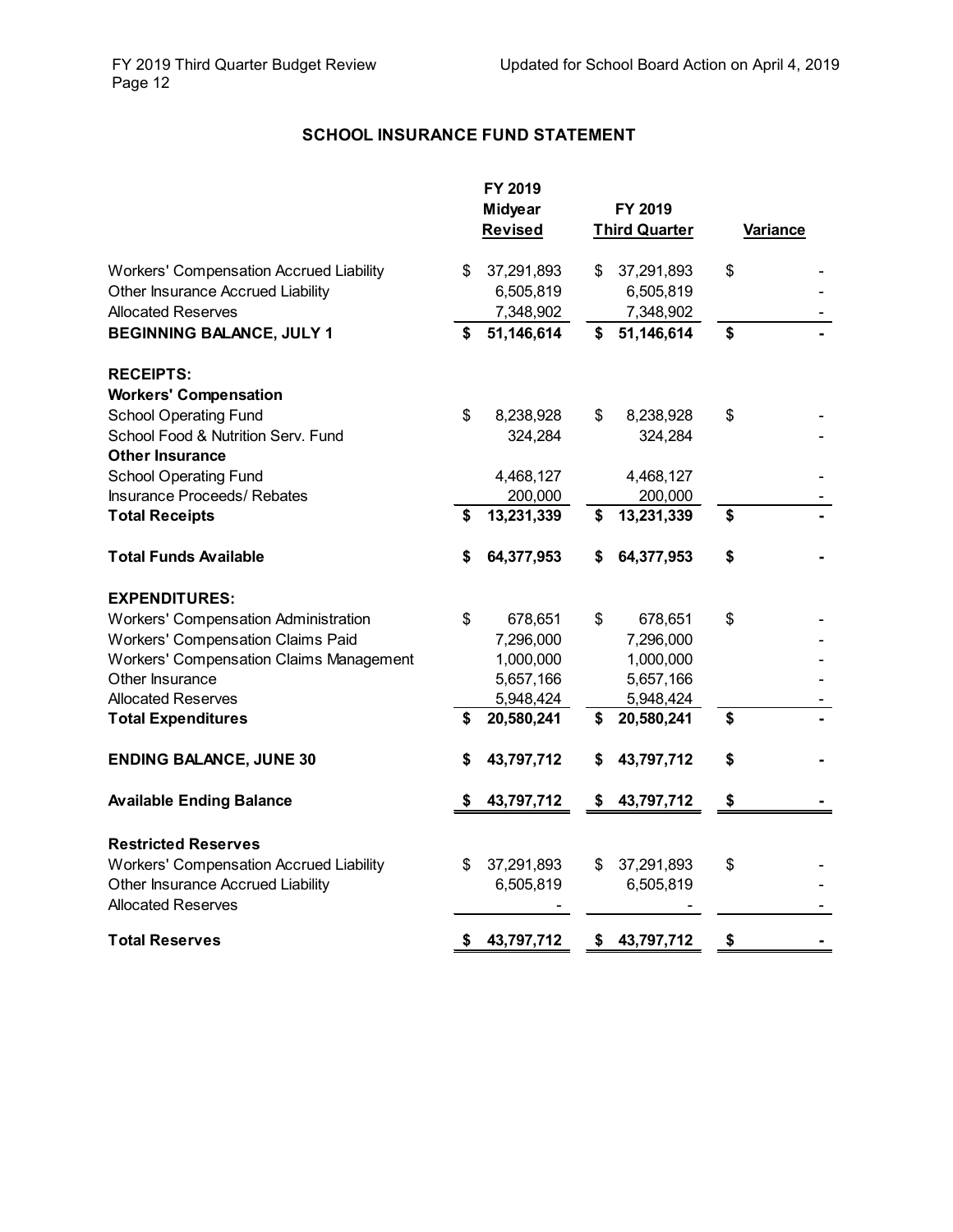# **SCHOOL INSURANCE FUND STATEMENT**

|                                                |    | FY 2019<br><b>Midyear</b><br><b>Revised</b> |    | FY 2019<br><b>Third Quarter</b> | Variance |
|------------------------------------------------|----|---------------------------------------------|----|---------------------------------|----------|
| Workers' Compensation Accrued Liability        | \$ | 37,291,893                                  | \$ | 37,291,893                      | \$       |
| Other Insurance Accrued Liability              |    | 6,505,819                                   |    | 6,505,819                       |          |
| <b>Allocated Reserves</b>                      |    | 7,348,902                                   |    | 7,348,902                       |          |
| <b>BEGINNING BALANCE, JULY 1</b>               | \$ | 51,146,614                                  | \$ | 51,146,614                      | \$       |
| <b>RECEIPTS:</b>                               |    |                                             |    |                                 |          |
| <b>Workers' Compensation</b>                   |    |                                             |    |                                 |          |
| <b>School Operating Fund</b>                   | \$ | 8,238,928                                   | \$ | 8,238,928                       | \$       |
| School Food & Nutrition Serv. Fund             |    | 324,284                                     |    | 324,284                         |          |
| <b>Other Insurance</b>                         |    |                                             |    |                                 |          |
| <b>School Operating Fund</b>                   |    | 4,468,127                                   |    | 4,468,127                       |          |
| <b>Insurance Proceeds/ Rebates</b>             |    | 200,000                                     |    | 200,000                         |          |
| <b>Total Receipts</b>                          | \$ | 13,231,339                                  | \$ | 13,231,339                      | \$       |
| <b>Total Funds Available</b>                   | S  | 64,377,953                                  | S  | 64,377,953                      | \$       |
| <b>EXPENDITURES:</b>                           |    |                                             |    |                                 |          |
| <b>Workers' Compensation Administration</b>    | \$ | 678,651                                     | \$ | 678,651                         | \$       |
| Workers' Compensation Claims Paid              |    | 7,296,000                                   |    | 7,296,000                       |          |
| <b>Workers' Compensation Claims Management</b> |    | 1,000,000                                   |    | 1,000,000                       |          |
| Other Insurance                                |    | 5,657,166                                   |    | 5,657,166                       |          |
| <b>Allocated Reserves</b>                      |    | 5,948,424                                   |    | 5,948,424                       |          |
| <b>Total Expenditures</b>                      | \$ | 20,580,241                                  | \$ | 20,580,241                      | \$       |
| <b>ENDING BALANCE, JUNE 30</b>                 | S  | 43,797,712                                  | \$ | 43,797,712                      | \$       |
| <b>Available Ending Balance</b>                | S  | 43,797,712                                  | \$ | 43,797,712                      | \$       |
| <b>Restricted Reserves</b>                     |    |                                             |    |                                 |          |
| <b>Workers' Compensation Accrued Liability</b> | \$ | 37,291,893                                  | \$ | 37,291,893                      | \$       |
| Other Insurance Accrued Liability              |    | 6,505,819                                   |    | 6,505,819                       |          |
| <b>Allocated Reserves</b>                      |    |                                             |    |                                 |          |
| <b>Total Reserves</b>                          | S  | 43,797,712                                  | \$ | 43,797,712                      | \$       |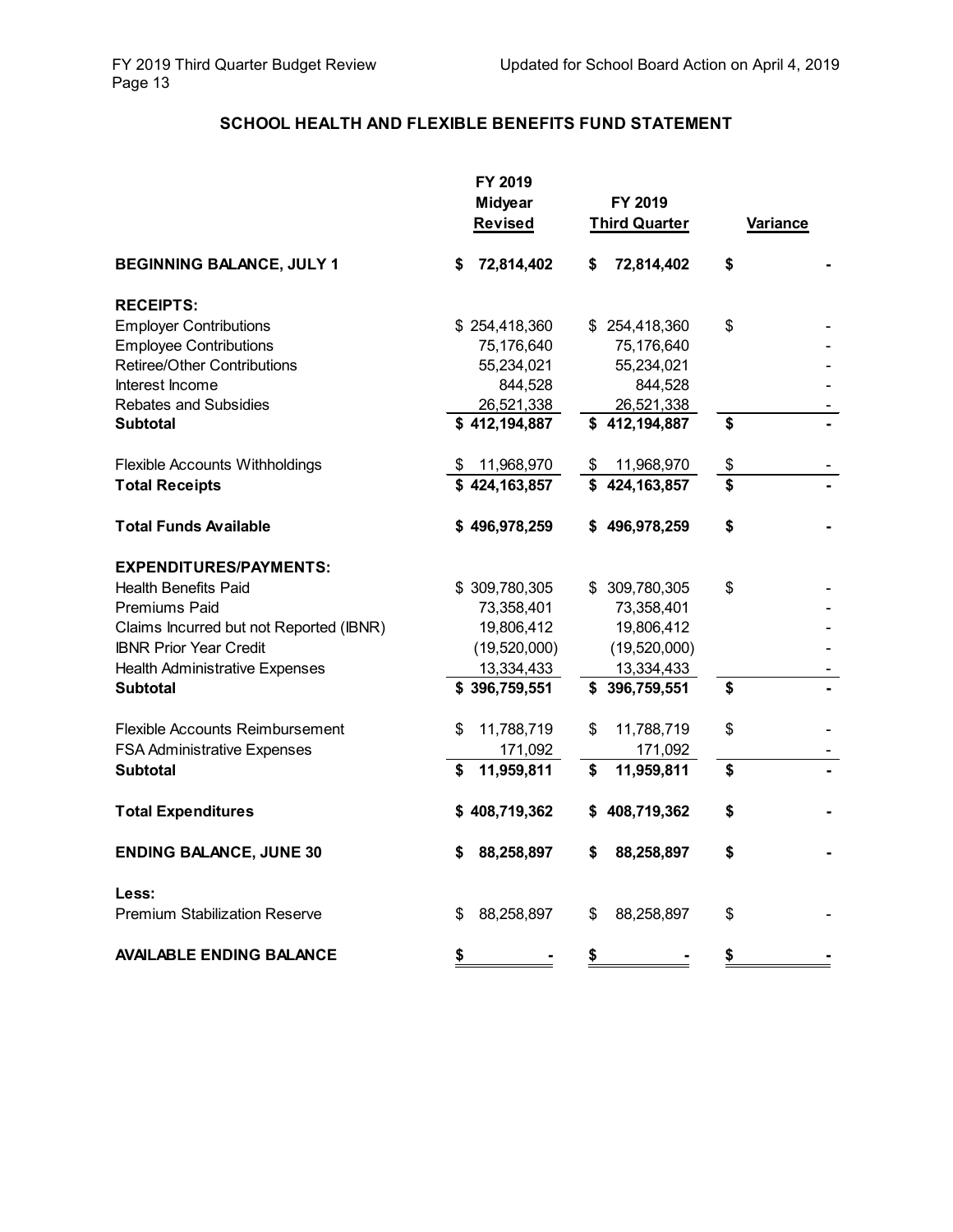## **SCHOOL HEALTH AND FLEXIBLE BENEFITS FUND STATEMENT**

|                                         | FY 2019          |                      |                 |
|-----------------------------------------|------------------|----------------------|-----------------|
|                                         | <b>Midyear</b>   | FY 2019              |                 |
|                                         | <b>Revised</b>   | <b>Third Quarter</b> | <b>Variance</b> |
| <b>BEGINNING BALANCE, JULY 1</b>        | 72,814,402<br>\$ | 72,814,402<br>\$     | \$              |
| <b>RECEIPTS:</b>                        |                  |                      |                 |
| <b>Employer Contributions</b>           | \$254,418,360    | \$254,418,360        | \$              |
| <b>Employee Contributions</b>           | 75,176,640       | 75,176,640           |                 |
| Retiree/Other Contributions             | 55,234,021       | 55,234,021           |                 |
| Interest Income                         | 844,528          | 844,528              |                 |
| <b>Rebates and Subsidies</b>            | 26,521,338       | 26,521,338           |                 |
| <b>Subtotal</b>                         | \$412,194,887    | \$412,194,887        | \$              |
| Flexible Accounts Withholdings          | \$11,968,970     | 11,968,970<br>\$     | \$              |
| <b>Total Receipts</b>                   | \$424,163,857    | \$424,163,857        | \$              |
| <b>Total Funds Available</b>            | \$496,978,259    | \$496,978,259        | \$              |
| <b>EXPENDITURES/PAYMENTS:</b>           |                  |                      |                 |
| <b>Health Benefits Paid</b>             | \$309,780,305    | \$309,780,305        | \$              |
| Premiums Paid                           | 73,358,401       | 73,358,401           |                 |
| Claims Incurred but not Reported (IBNR) | 19,806,412       | 19,806,412           |                 |
| <b>IBNR Prior Year Credit</b>           | (19,520,000)     | (19,520,000)         |                 |
| <b>Health Administrative Expenses</b>   | 13,334,433       | 13,334,433           |                 |
| <b>Subtotal</b>                         | \$396,759,551    | \$396,759,551        | \$              |
| Flexible Accounts Reimbursement         | 11,788,719<br>\$ | 11,788,719<br>\$     | \$              |
| <b>FSA Administrative Expenses</b>      | 171,092          | 171,092              |                 |
| <b>Subtotal</b>                         | 11,959,811<br>\$ | 11,959,811<br>\$     | \$              |
| <b>Total Expenditures</b>               | \$408,719,362    | \$408,719,362        | \$              |
| <b>ENDING BALANCE, JUNE 30</b>          | 88,258,897<br>S  | 88,258,897<br>S      | \$              |
| Less:                                   |                  |                      |                 |
| <b>Premium Stabilization Reserve</b>    | 88,258,897<br>\$ | 88,258,897<br>S      | \$              |
| <b>AVAILABLE ENDING BALANCE</b>         | \$               | \$                   | \$              |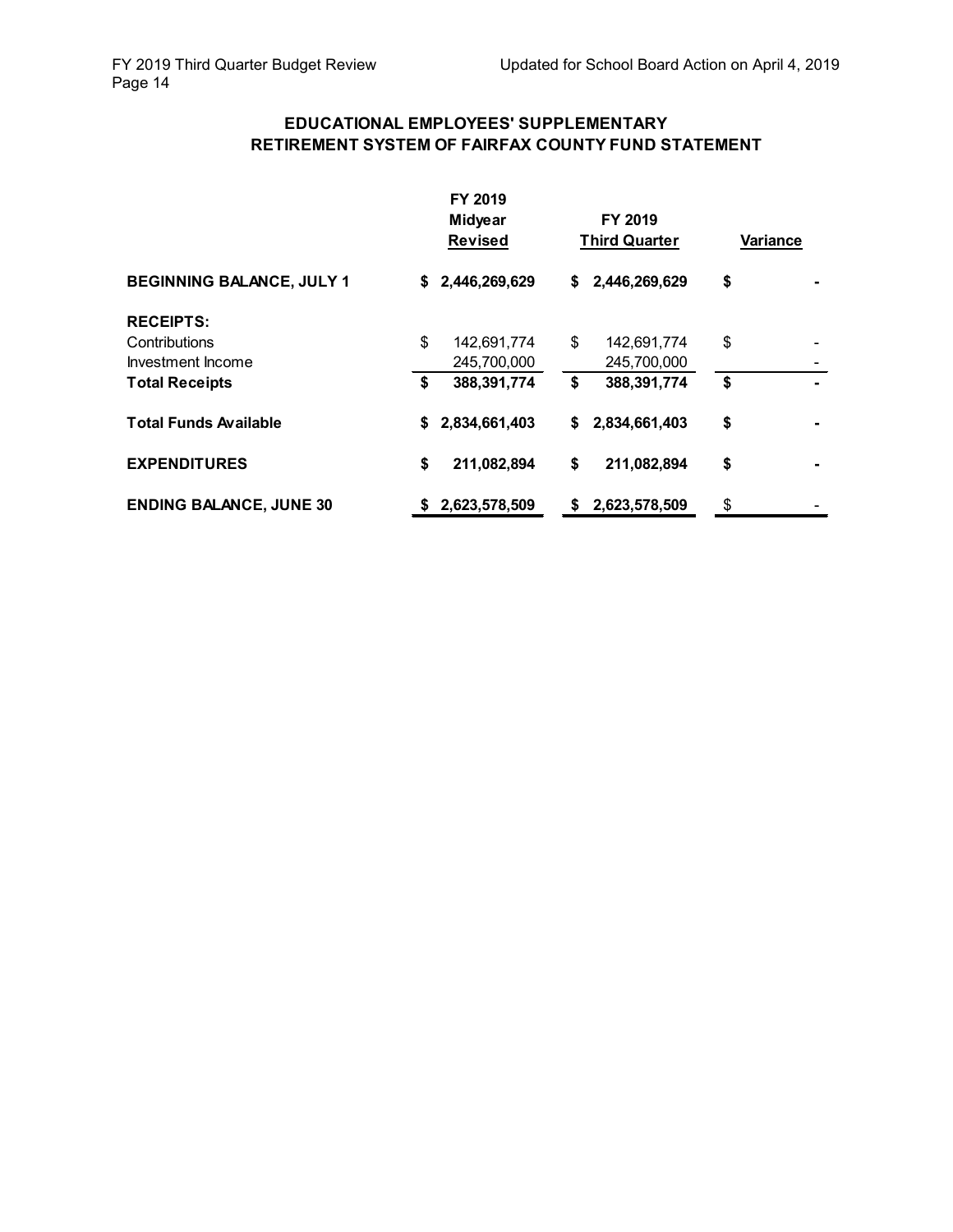## **EDUCATIONAL EMPLOYEES' SUPPLEMENTARY RETIREMENT SYSTEM OF FAIRFAX COUNTY FUND STATEMENT**

|                                  | FY 2019<br><b>Midyear</b><br><b>Revised</b> |               | FY 2019<br><b>Third Quarter</b> |               | Variance |  |
|----------------------------------|---------------------------------------------|---------------|---------------------------------|---------------|----------|--|
| <b>BEGINNING BALANCE, JULY 1</b> | S.                                          | 2,446,269,629 | \$                              | 2,446,269,629 | \$       |  |
| <b>RECEIPTS:</b>                 |                                             |               |                                 |               |          |  |
| Contributions                    | \$                                          | 142,691,774   | \$                              | 142,691,774   | \$       |  |
| Investment Income                |                                             | 245,700,000   |                                 | 245,700,000   |          |  |
| <b>Total Receipts</b>            | \$                                          | 388,391,774   | \$                              | 388,391,774   | \$       |  |
| <b>Total Funds Available</b>     | \$                                          | 2,834,661,403 | \$                              | 2,834,661,403 | \$       |  |
| <b>EXPENDITURES</b>              | \$                                          | 211,082,894   | \$                              | 211,082,894   | \$       |  |
| <b>ENDING BALANCE, JUNE 30</b>   | \$.                                         | 2,623,578,509 | \$                              | 2,623,578,509 | \$       |  |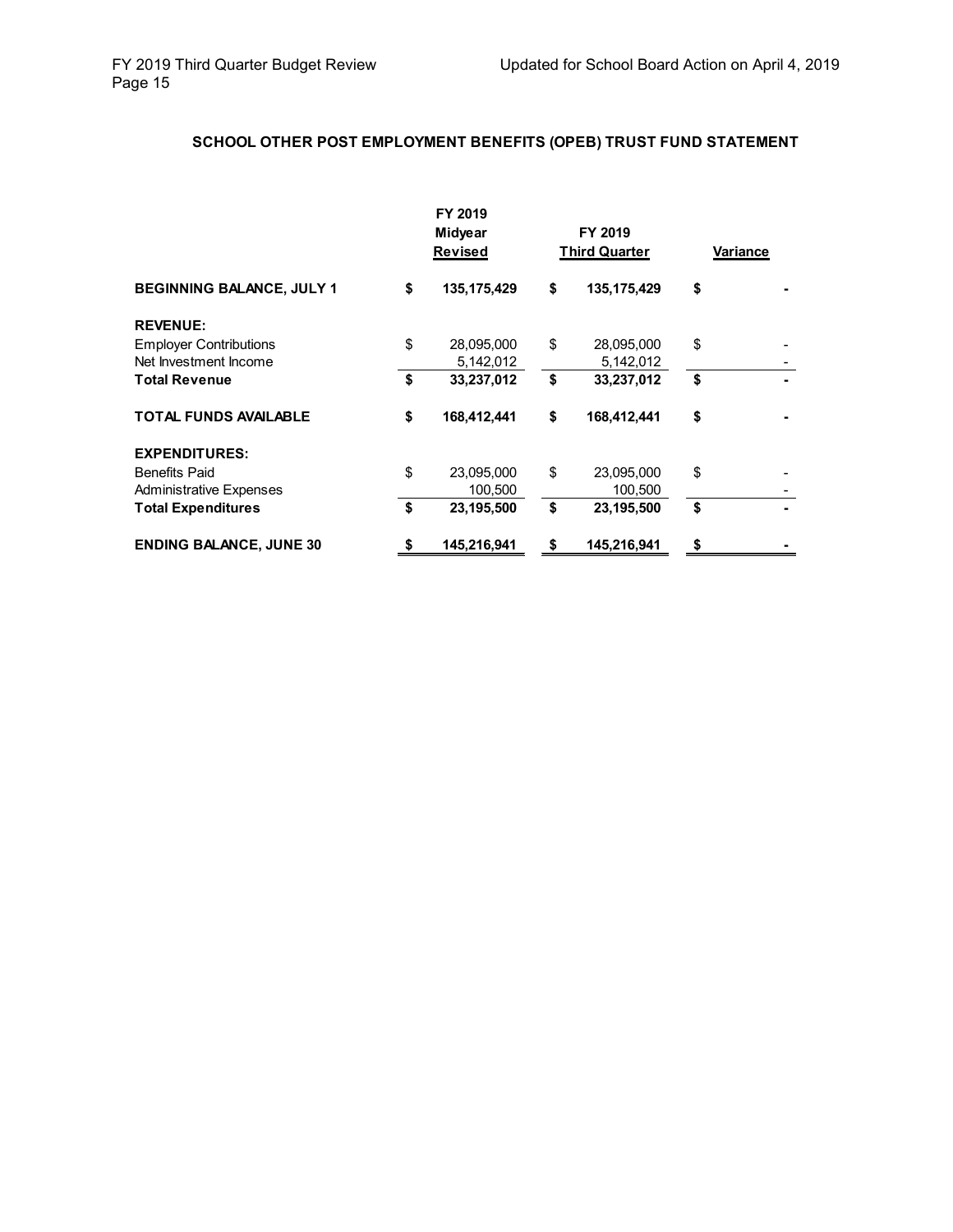# **SCHOOL OTHER POST EMPLOYMENT BENEFITS (OPEB) TRUST FUND STATEMENT**

|                                  | FY 2019<br>Midyear<br><b>Revised</b> |             | FY 2019<br><b>Third Quarter</b> |               | Variance |  |
|----------------------------------|--------------------------------------|-------------|---------------------------------|---------------|----------|--|
| <b>BEGINNING BALANCE, JULY 1</b> | \$                                   | 135,175,429 | \$                              | 135, 175, 429 | \$       |  |
| <b>REVENUE:</b>                  |                                      |             |                                 |               |          |  |
| <b>Employer Contributions</b>    | \$                                   | 28,095,000  | \$                              | 28,095,000    | \$       |  |
| Net Investment Income            |                                      | 5,142,012   |                                 | 5,142,012     |          |  |
| <b>Total Revenue</b>             | \$                                   | 33,237,012  | \$                              | 33,237,012    | \$       |  |
| <b>TOTAL FUNDS AVAILABLE</b>     | \$                                   | 168,412,441 | \$                              | 168,412,441   | \$       |  |
| <b>EXPENDITURES:</b>             |                                      |             |                                 |               |          |  |
| <b>Benefits Paid</b>             | \$                                   | 23,095,000  | \$                              | 23,095,000    | \$       |  |
| <b>Administrative Expenses</b>   |                                      | 100,500     |                                 | 100,500       |          |  |
| <b>Total Expenditures</b>        | \$                                   | 23,195,500  | \$                              | 23,195,500    | \$       |  |
| <b>ENDING BALANCE, JUNE 30</b>   | \$                                   | 145,216,941 | \$                              | 145,216,941   | \$       |  |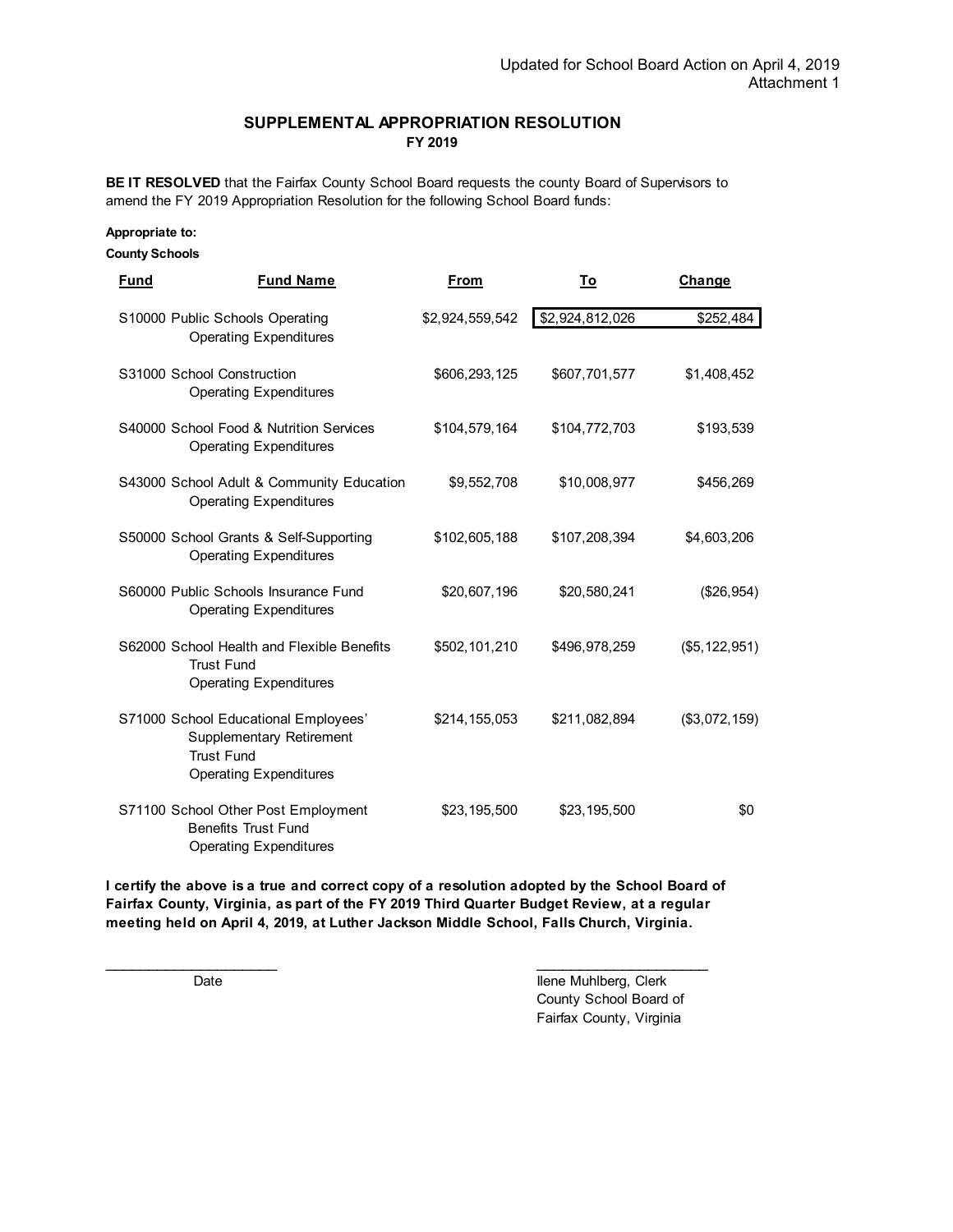### **SUPPLEMENTAL APPROPRIATION RESOLUTION FY 2019**

**BE IT RESOLVED** that the Fairfax County School Board requests the county Board of Supervisors to amend the FY 2019 Appropriation Resolution for the following School Board funds:

#### **Appropriate to:**

#### **County Schools**

| Fund                       | <b>Fund Name</b>                                                                                                              | From            | Τo              | Change          |
|----------------------------|-------------------------------------------------------------------------------------------------------------------------------|-----------------|-----------------|-----------------|
|                            | S10000 Public Schools Operating<br><b>Operating Expenditures</b>                                                              | \$2,924,559,542 | \$2,924,812,026 | \$252,484       |
| S31000 School Construction | <b>Operating Expenditures</b>                                                                                                 | \$606,293,125   | \$607,701,577   | \$1,408,452     |
|                            | S40000 School Food & Nutrition Services<br><b>Operating Expenditures</b>                                                      | \$104,579,164   | \$104,772,703   | \$193,539       |
|                            | S43000 School Adult & Community Education<br><b>Operating Expenditures</b>                                                    | \$9,552,708     | \$10,008,977    | \$456,269       |
|                            | S50000 School Grants & Self-Supporting<br><b>Operating Expenditures</b>                                                       | \$102,605,188   | \$107,208,394   | \$4,603,206     |
|                            | S60000 Public Schools Insurance Fund<br><b>Operating Expenditures</b>                                                         | \$20,607,196    | \$20,580,241    | (\$26,954)      |
|                            | S62000 School Health and Flexible Benefits<br><b>Trust Fund</b><br><b>Operating Expenditures</b>                              | \$502,101,210   | \$496,978,259   | (\$5, 122, 951) |
|                            | S71000 School Educational Employees'<br><b>Supplementary Retirement</b><br><b>Trust Fund</b><br><b>Operating Expenditures</b> | \$214,155,053   | \$211,082,894   | (\$3,072,159)   |
|                            | S71100 School Other Post Employment<br><b>Benefits Trust Fund</b><br><b>Operating Expenditures</b>                            | \$23,195,500    | \$23,195,500    | \$0             |

**I certify the above is a true and correct copy of a resolution adopted by the School Board of Fairfax County, Virginia, as part of the FY 2019 Third Quarter Budget Review, at a regular meeting held on April 4, 2019, at Luther Jackson Middle School, Falls Church, Virginia.**

 $\frac{1}{2}$  ,  $\frac{1}{2}$  ,  $\frac{1}{2}$  ,  $\frac{1}{2}$  ,  $\frac{1}{2}$  ,  $\frac{1}{2}$  ,  $\frac{1}{2}$  ,  $\frac{1}{2}$  ,  $\frac{1}{2}$  ,  $\frac{1}{2}$  ,  $\frac{1}{2}$  ,  $\frac{1}{2}$  ,  $\frac{1}{2}$  ,  $\frac{1}{2}$  ,  $\frac{1}{2}$  ,  $\frac{1}{2}$  ,  $\frac{1}{2}$  ,  $\frac{1}{2}$  ,  $\frac{1$ Date **Internal Contract Contract Contract Contract Contract Contract Contract Contract Contract Contract Contract Contract Contract Contract Contract Contract Contract Contract Contract Contract Contract Contract Contract** County School Board of Fairfax County, Virginia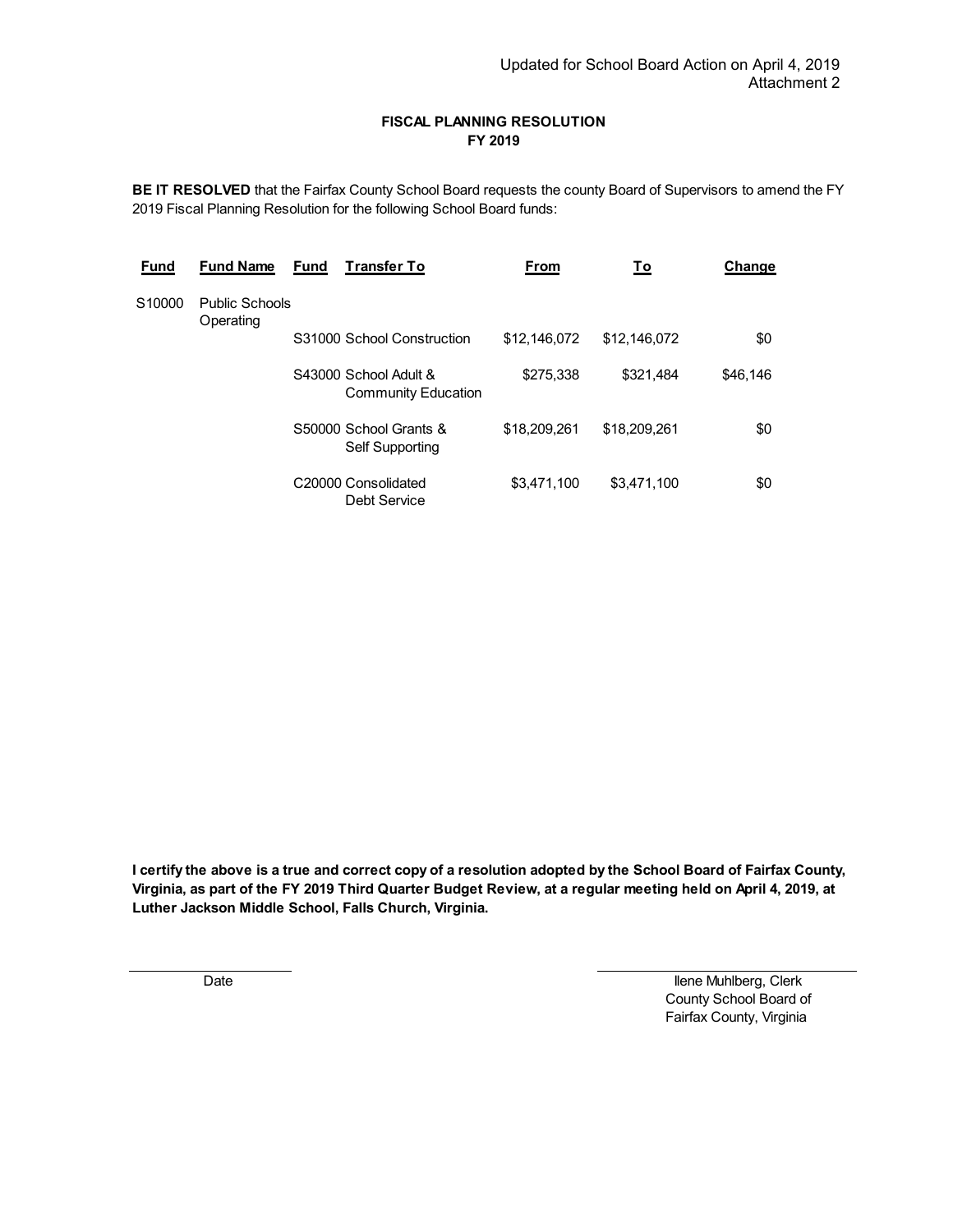### **FISCAL PLANNING RESOLUTION FY 2019**

**BE IT RESOLVED** that the Fairfax County School Board requests the county Board of Supervisors to amend the FY 2019 Fiscal Planning Resolution for the following School Board funds:

| <b>Fund</b> | <b>Fund Name</b>                   | <b>Fund</b> | <b>Transfer To</b>                                  | <b>From</b>  | To           | Change   |
|-------------|------------------------------------|-------------|-----------------------------------------------------|--------------|--------------|----------|
| S10000      | <b>Public Schools</b><br>Operating |             |                                                     |              |              |          |
|             |                                    |             | S31000 School Construction                          | \$12,146,072 | \$12,146,072 | \$0      |
|             |                                    |             | S43000 School Adult &<br><b>Community Education</b> | \$275,338    | \$321.484    | \$46.146 |
|             |                                    |             | S50000 School Grants &<br>Self Supporting           | \$18,209,261 | \$18,209,261 | \$0      |
|             |                                    |             | C20000 Consolidated<br>Debt Service                 | \$3,471,100  | \$3.471.100  | \$0      |

**I certify the above is a true and correct copy of a resolution adopted by the School Board of Fairfax County, Virginia, as part of the FY 2019 Third Quarter Budget Review, at a regular meeting held on April 4, 2019, at Luther Jackson Middle School, Falls Church, Virginia.**

 Date Ilene Muhlberg, Clerk County School Board of Fairfax County, Virginia